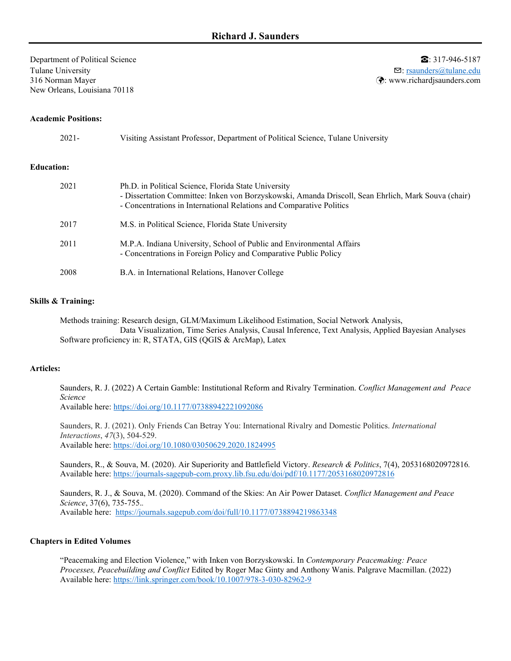Department of Political Science **■ ■**  $\bullet$  5187-946-5187 Tulane University **S**: [rsaunders@tulane.edu](mailto:rjs15d@my.fsu.edu) 316 Norman Mayer : www.richardjsaunders.com  $\bigotimes$ : www.richardjsaunders.com New Orleans, Louisiana 70118

## **Academic Positions:**

| $2021 -$          | Visiting Assistant Professor, Department of Political Science, Tulane University                                                                                                                                                    |
|-------------------|-------------------------------------------------------------------------------------------------------------------------------------------------------------------------------------------------------------------------------------|
| <b>Education:</b> |                                                                                                                                                                                                                                     |
| 2021              | Ph.D. in Political Science, Florida State University<br>- Dissertation Committee: Inken von Borzyskowski, Amanda Driscoll, Sean Ehrlich, Mark Souva (chair)<br>- Concentrations in International Relations and Comparative Politics |
| 2017              | M.S. in Political Science, Florida State University                                                                                                                                                                                 |
| 2011              | M.P.A. Indiana University, School of Public and Environmental Affairs<br>- Concentrations in Foreign Policy and Comparative Public Policy                                                                                           |

2008 B.A. in International Relations, Hanover College

## **Skills & Training:**

Methods training: Research design, GLM/Maximum Likelihood Estimation, Social Network Analysis, Data Visualization, Time Series Analysis, Causal Inference, Text Analysis, Applied Bayesian Analyses Software proficiency in: R, STATA, GIS (QGIS & ArcMap), Latex

# **Articles:**

Saunders, R. J. (2022) A Certain Gamble: Institutional Reform and Rivalry Termination. *Conflict Management and Peace Science*

Available here:<https://doi.org/10.1177/07388942221092086>

Saunders, R. J. (2021). Only Friends Can Betray You: International Rivalry and Domestic Politics. *International Interactions*, *47*(3), 504-529. Available here:<https://doi.org/10.1080/03050629.2020.1824995>

Saunders, R., & Souva, M. (2020). Air Superiority and Battlefield Victory. *Research & Politics*, 7(4), 2053168020972816*.* Available here:<https://journals-sagepub-com.proxy.lib.fsu.edu/doi/pdf/10.1177/2053168020972816>

Saunders, R. J., & Souva, M. (2020). Command of the Skies: An Air Power Dataset. *Conflict Management and Peace Science*, 37(6), 735-755.*.*  Available here: <https://journals.sagepub.com/doi/full/10.1177/0738894219863348>

#### **Chapters in Edited Volumes**

"Peacemaking and Election Violence," with Inken von Borzyskowski. In *Contemporary Peacemaking: Peace Processes, Peacebuilding and Conflict* Edited by Roger Mac Ginty and Anthony Wanis. Palgrave Macmillan. (2022) Available here:<https://link.springer.com/book/10.1007/978-3-030-82962-9>